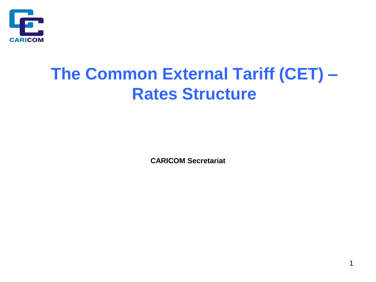

## **The Common External Tariff (CET) – Rates Structure**

**CARICOM Secretariat**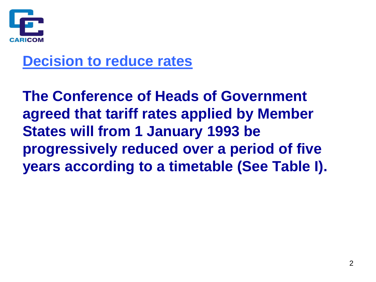

#### **Decision to reduce rates**

**The Conference of Heads of Government agreed that tariff rates applied by Member States will from 1 January 1993 be progressively reduced over a period of five years according to a timetable (See Table I).**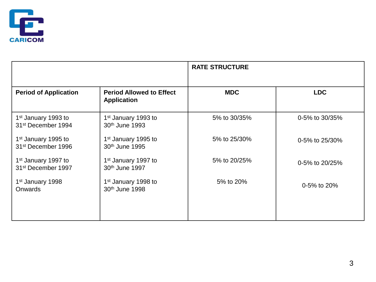

|                                                                   |                                                               | <b>RATE STRUCTURE</b> |                |  |  |  |
|-------------------------------------------------------------------|---------------------------------------------------------------|-----------------------|----------------|--|--|--|
| <b>Period of Application</b>                                      | <b>Period Allowed to Effect</b><br><b>Application</b>         | <b>MDC</b>            | <b>LDC</b>     |  |  |  |
| 1 <sup>st</sup> January 1993 to<br>31 <sup>st</sup> December 1994 | 1 <sup>st</sup> January 1993 to<br>30th June 1993             | 5% to 30/35%          | 0-5% to 30/35% |  |  |  |
| 1 <sup>st</sup> January 1995 to<br>31 <sup>st</sup> December 1996 | 1 <sup>st</sup> January 1995 to<br>30 <sup>th</sup> June 1995 | 5% to 25/30%          | 0-5% to 25/30% |  |  |  |
| 1 <sup>st</sup> January 1997 to<br>31 <sup>st</sup> December 1997 | 1 <sup>st</sup> January 1997 to<br>30th June 1997             | 5% to 20/25%          | 0-5% to 20/25% |  |  |  |
| 1 <sup>st</sup> January 1998<br><b>Onwards</b>                    | 1 <sup>st</sup> January 1998 to<br>30th June 1998             | 5% to 20%             | 0-5% to 20%    |  |  |  |
|                                                                   |                                                               |                       |                |  |  |  |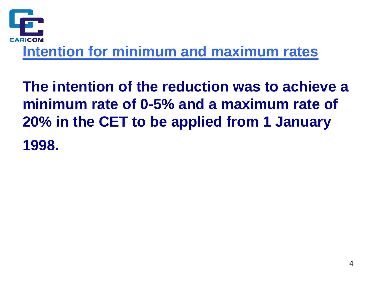

**The intention of the reduction was to achieve a minimum rate of 0-5% and a maximum rate of 20% in the CET to be applied from 1 January 1998.**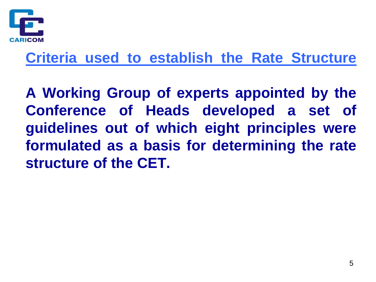

#### **Criteria used to establish the Rate Structure**

**A Working Group of experts appointed by the Conference of Heads developed a set of guidelines out of which eight principles were formulated as a basis for determining the rate structure of the CET.**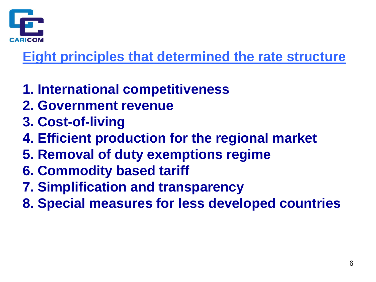

#### **Eight principles that determined the rate structure**

- **1. International competitiveness**
- **2. Government revenue**
- **3. Cost-of-living**
- **4. Efficient production for the regional market**
- **5. Removal of duty exemptions regime**
- **6. Commodity based tariff**
- **7. Simplification and transparency**
- **8. Special measures for less developed countries**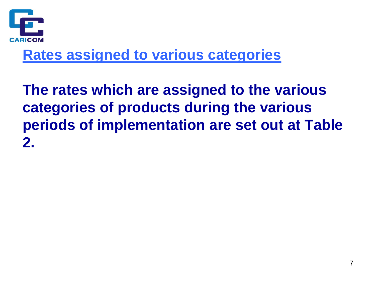

#### **Rates assigned to various categories**

**The rates which are assigned to the various categories of products during the various periods of implementation are set out at Table 2.**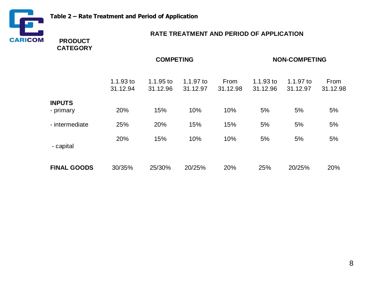

#### **RATE TREATMENT AND PERIOD OF APPLICATION**

**PRODUCT CATEGORY**

|                            | <b>COMPETING</b>        |                         |                       |                  | <b>NON-COMPETING</b>    |                       |                  |
|----------------------------|-------------------------|-------------------------|-----------------------|------------------|-------------------------|-----------------------|------------------|
|                            | $1.1.93$ to<br>31.12.94 | $1.1.95$ to<br>31.12.96 | 1.1.97 to<br>31.12.97 | From<br>31.12.98 | $1.1.93$ to<br>31.12.96 | 1.1.97 to<br>31.12.97 | From<br>31.12.98 |
| <b>INPUTS</b><br>- primary | 20%                     | 15%                     | 10%                   | 10%              | 5%                      | 5%                    | 5%               |
| - intermediate             | 25%                     | 20%                     | 15%                   | 15%              | 5%                      | 5%                    | 5%               |
| - capital                  | 20%                     | 15%                     | 10%                   | 10%              | 5%                      | 5%                    | 5%               |
| <b>FINAL GOODS</b>         | 30/35%                  | 25/30%                  | 20/25%                | 20%              | 25%                     | 20/25%                | 20%              |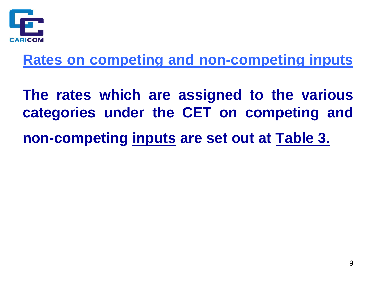

**Rates on competing and non-competing inputs**

**The rates which are assigned to the various categories under the CET on competing and**

**non-competing inputs are set out at Table 3.**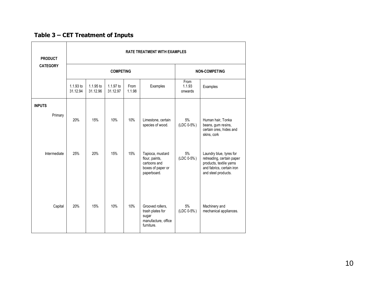#### **Table 3 – CET Treatment of Inputs**

| <b>PRODUCT</b>  | <b>RATE TREATMENT WITH EXAMPLES</b> |                       |                       |                      |                                                                                        |                           |                                                                                                                                     |  |
|-----------------|-------------------------------------|-----------------------|-----------------------|----------------------|----------------------------------------------------------------------------------------|---------------------------|-------------------------------------------------------------------------------------------------------------------------------------|--|
| <b>CATEGORY</b> |                                     |                       | <b>COMPETING</b>      | <b>NON-COMPETING</b> |                                                                                        |                           |                                                                                                                                     |  |
|                 | $1.1.93$ to<br>31.12.94             | 1.1.95 to<br>31.12.96 | 1.1.97 to<br>31.12.97 | From<br>1.1.98       | Examples                                                                               | From<br>1.1.93<br>onwards | Examples                                                                                                                            |  |
| <b>INPUTS</b>   |                                     |                       |                       |                      |                                                                                        |                           |                                                                                                                                     |  |
| Primary         | 20%                                 | 15%                   | 10%                   | 10%                  | Limestone, certain<br>species of wood.                                                 | 5%<br>(LDC 0-5%)          | Human hair, Tonka<br>beans, gum resins,<br>certain ores, hides and<br>skins, cork                                                   |  |
| Intermediate    | 25%                                 | 20%                   | 15%                   | 15%                  | Tapioca, mustard<br>flour, paints,<br>cartoons and<br>boxes of paper or<br>paperboard. | 5%<br>(LDC 0-5%)          | Laundry blue, tyres for<br>retreading, certain paper<br>products, textile yarns<br>and fabrics, certain iron<br>and steel products. |  |
| Capital         | 20%                                 | 15%                   | 10%                   | 10%                  | Grooved rollers,<br>trash plates for<br>sugar<br>manufacture, office<br>furniture.     | 5%<br>(LDC 0-5%)          | Machinery and<br>mechanical appliances.                                                                                             |  |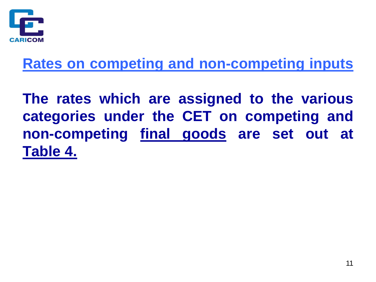

#### **Rates on competing and non-competing inputs**

**The rates which are assigned to the various categories under the CET on competing and non-competing final goods are set out at Table 4.**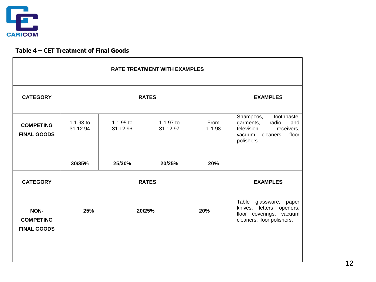

#### **Table 4 – CET Treatment of Final Goods**

| <b>RATE TREATMENT WITH EXAMPLES</b>            |                         |                       |                       |  |                |                                                                                                                                |
|------------------------------------------------|-------------------------|-----------------------|-----------------------|--|----------------|--------------------------------------------------------------------------------------------------------------------------------|
| <b>CATEGORY</b>                                | <b>RATES</b>            |                       |                       |  |                | <b>EXAMPLES</b>                                                                                                                |
| <b>COMPETING</b><br><b>FINAL GOODS</b>         | $1.1.93$ to<br>31.12.94 | 1.1.95 to<br>31.12.96 | 1.1.97 to<br>31.12.97 |  | From<br>1.1.98 | toothpaste,<br>Shampoos,<br>radio<br>and<br>garments,<br>television<br>receivers,<br>cleaners,<br>floor<br>vacuum<br>polishers |
|                                                | 30/35%                  | 25/30%                | 20/25%                |  | 20%            |                                                                                                                                |
| <b>CATEGORY</b>                                | <b>RATES</b>            |                       |                       |  |                | <b>EXAMPLES</b>                                                                                                                |
| NON-<br><b>COMPETING</b><br><b>FINAL GOODS</b> | 25%                     | 20/25%                |                       |  | 20%            | Table glassware,<br>paper<br>knives,<br>letters openers,<br>floor coverings, vacuum<br>cleaners, floor polishers.              |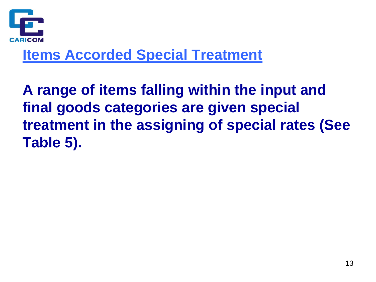

#### **Items Accorded Special Treatment**

**A range of items falling within the input and final goods categories are given special treatment in the assigning of special rates (See Table 5).**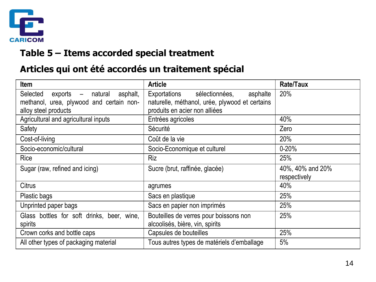

#### **Table 5 – Items accorded special treatment**

#### **Articles qui ont été accordés un traitement spécial**

| <b>Item</b>                                    | <b>Article</b>                                 | <b>Rate/Taux</b> |
|------------------------------------------------|------------------------------------------------|------------------|
| Selected<br>$exports -$<br>natural<br>asphalt, | sélectionnées,<br>Exportations<br>asphalte     | 20%              |
| methanol, urea, plywood and certain non-       | naturelle, méthanol, urée, plywood et certains |                  |
| alloy steel products                           | produits en acier non alliées                  |                  |
| Agricultural and agricultural inputs           | Entrées agricoles                              | 40%              |
| Safety                                         | Sécurité                                       | Zero             |
| Cost-of-living                                 | Coût de la vie                                 | 20%              |
| Socio-economic/cultural                        | Socio-Economique et culturel                   | $0 - 20%$        |
| Rice                                           | <b>Riz</b>                                     | 25%              |
| Sugar (raw, refined and icing)                 | Sucre (brut, raffinée, glacée)                 | 40%, 40% and 20% |
|                                                |                                                | respectively     |
| <b>Citrus</b>                                  | agrumes                                        | 40%              |
| Plastic bags                                   | Sacs en plastique                              | 25%              |
| Unprinted paper bags                           | Sacs en papier non imprimés                    | 25%              |
| Glass bottles for soft drinks, beer, wine,     | Bouteilles de verres pour boissons non         | 25%              |
| spirits                                        | alcoolisés, bière, vin, spirits                |                  |
| Crown corks and bottle caps                    | Capsules de bouteilles                         | 25%              |
| All other types of packaging material          | Tous autres types de matériels d'emballage     | 5%               |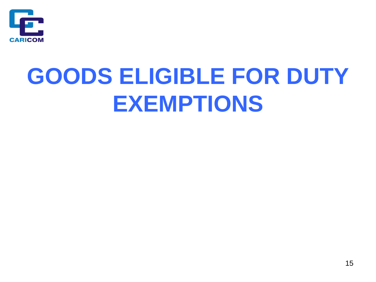

# **GOODS ELIGIBLE FOR DUTY EXEMPTIONS**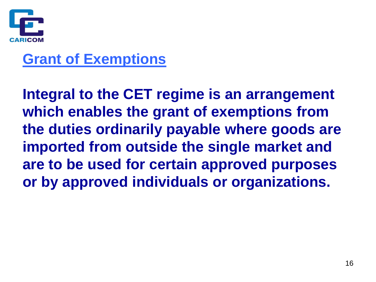

#### **Grant of Exemptions**

**Integral to the CET regime is an arrangement which enables the grant of exemptions from the duties ordinarily payable where goods are imported from outside the single market and are to be used for certain approved purposes or by approved individuals or organizations.**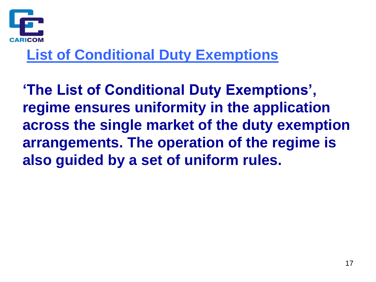

### **List of Conditional Duty Exemptions**

**'The List of Conditional Duty Exemptions', regime ensures uniformity in the application across the single market of the duty exemption arrangements. The operation of the regime is also guided by a set of uniform rules.**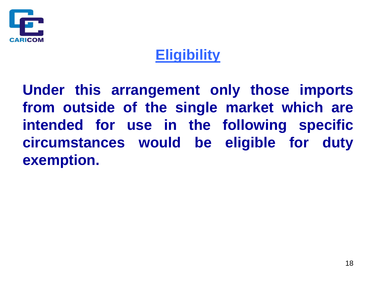

### **Eligibility**

**Under this arrangement only those imports from outside of the single market which are intended for use in the following specific circumstances would be eligible for duty exemption.**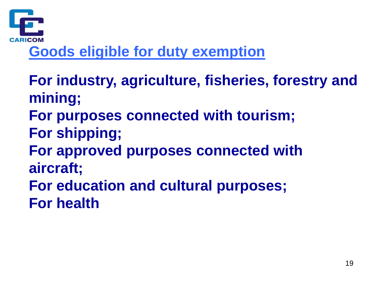

### **Goods eligible for duty exemption**

- **For industry, agriculture, fisheries, forestry and mining;**
- **For purposes connected with tourism;**
- **For shipping;**
- **For approved purposes connected with aircraft;**
- **For education and cultural purposes; For health**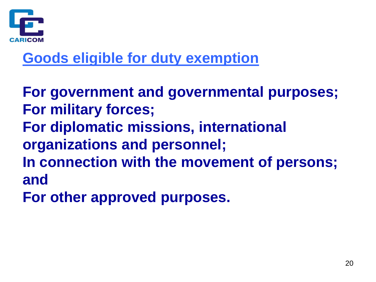

### **Goods eligible for duty exemption**

**For government and governmental purposes; For military forces; For diplomatic missions, international organizations and personnel; In connection with the movement of persons; and**

**For other approved purposes.**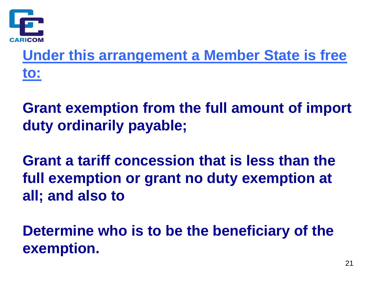

**Under this arrangement a Member State is free to:**

**Grant exemption from the full amount of import duty ordinarily payable;**

**Grant a tariff concession that is less than the full exemption or grant no duty exemption at all; and also to**

**Determine who is to be the beneficiary of the exemption.**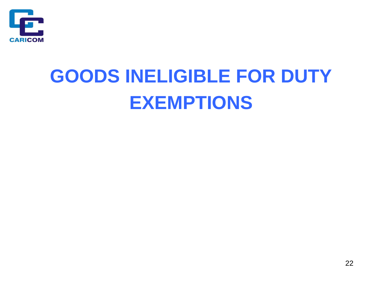

# **GOODS INELIGIBLE FOR DUTY EXEMPTIONS**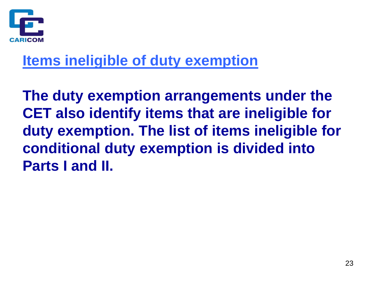

#### **Items ineligible of duty exemption**

**The duty exemption arrangements under the CET also identify items that are ineligible for duty exemption. The list of items ineligible for conditional duty exemption is divided into Parts I and II.**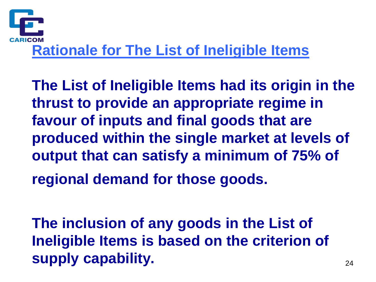

**The List of Ineligible Items had its origin in the thrust to provide an appropriate regime in favour of inputs and final goods that are produced within the single market at levels of output that can satisfy a minimum of 75% of regional demand for those goods.**

**The inclusion of any goods in the List of Ineligible Items is based on the criterion of supply capability.**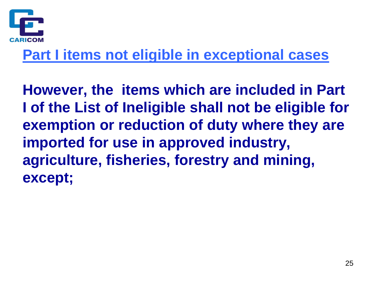

#### **Part I items not eligible in exceptional cases**

**However, the items which are included in Part I of the List of Ineligible shall not be eligible for exemption or reduction of duty where they are imported for use in approved industry, agriculture, fisheries, forestry and mining, except;**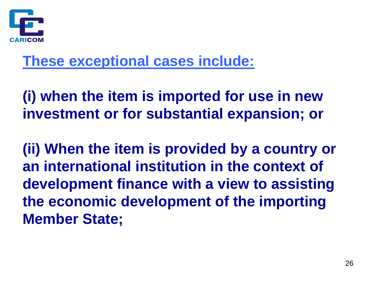

#### **These exceptional cases include:**

**(i) when the item is imported for use in new investment or for substantial expansion; or**

**(ii) When the item is provided by a country or an international institution in the context of development finance with a view to assisting the economic development of the importing Member State;**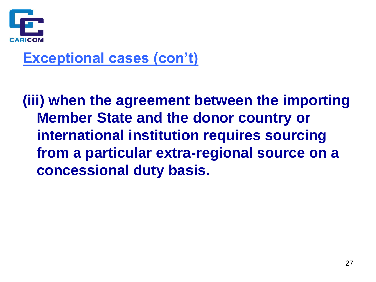

#### **Exceptional cases (con't)**

**(iii) when the agreement between the importing Member State and the donor country or international institution requires sourcing from a particular extra-regional source on a concessional duty basis.**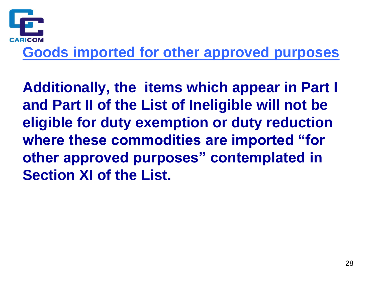

#### **Goods imported for other approved purposes**

**Additionally, the items which appear in Part I and Part II of the List of Ineligible will not be eligible for duty exemption or duty reduction where these commodities are imported "for other approved purposes" contemplated in Section XI of the List.**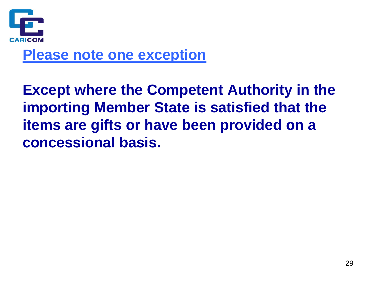

#### **Please note one exception**

**Except where the Competent Authority in the importing Member State is satisfied that the items are gifts or have been provided on a concessional basis.**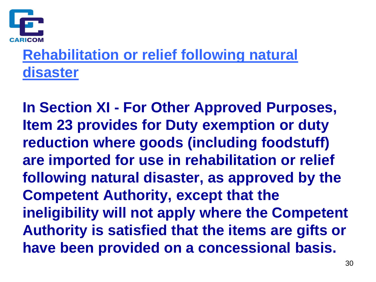

### **Rehabilitation or relief following natural disaster**

**In Section XI - For Other Approved Purposes, Item 23 provides for Duty exemption or duty reduction where goods (including foodstuff) are imported for use in rehabilitation or relief following natural disaster, as approved by the Competent Authority, except that the ineligibility will not apply where the Competent Authority is satisfied that the items are gifts or have been provided on a concessional basis.**